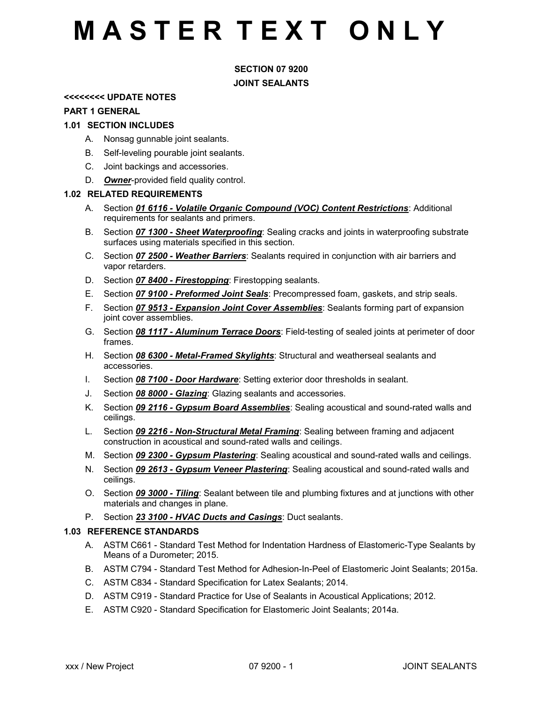## **MASTER TEXT ONLY**

### SECTION 07 9200 JOINT SEALANTS

#### <<<<<<<< UPDATE NOTES

#### PART 1 GENERAL

#### 1.01 SECTION INCLUDES

- A. Nonsag gunnable joint sealants.
- B. Self-leveling pourable joint sealants.
- C. Joint backings and accessories.
- D. Owner-provided field quality control.

#### 1.02 RELATED REQUIREMENTS

- A. Section **01 6116 Volatile Organic Compound (VOC) Content Restrictions**: Additional requirements for sealants and primers.
- B. Section **07 1300 Sheet Waterproofing**: Sealing cracks and joints in waterproofing substrate surfaces using materials specified in this section.
- C. Section 07 2500 Weather Barriers: Sealants required in conjunction with air barriers and vapor retarders.
- D. Section 07 8400 Firestopping: Firestopping sealants.
- E. Section 07 9100 Preformed Joint Seals: Precompressed foam, gaskets, and strip seals.
- F. Section 07 9513 Expansion Joint Cover Assemblies: Sealants forming part of expansion joint cover assemblies.
- G. Section **08 1117 Aluminum Terrace Doors**: Field-testing of sealed joints at perimeter of door frames.
- H. Section **08 6300 Metal-Framed Skylights**: Structural and weatherseal sealants and accessories.
- I. Section **08 7100 Door Hardware**: Setting exterior door thresholds in sealant.
- J. Section **08 8000 Glazing**: Glazing sealants and accessories.
- K. Section *09 2116 Gypsum Board Assemblies*: Sealing acoustical and sound-rated walls and ceilings.
- L. Section 09 2216 Non-Structural Metal Framing: Sealing between framing and adjacent construction in acoustical and sound-rated walls and ceilings.
- M. Section 09 2300 Gypsum Plastering: Sealing acoustical and sound-rated walls and ceilings.
- N. Section 09 2613 Gypsum Veneer Plastering: Sealing acoustical and sound-rated walls and ceilings.
- O. Section 09 3000 Tiling: Sealant between tile and plumbing fixtures and at junctions with other materials and changes in plane.
- P. Section 23 3100 HVAC Ducts and Casings: Duct sealants.

#### 1.03 REFERENCE STANDARDS

- A. ASTM C661 Standard Test Method for Indentation Hardness of Elastomeric-Type Sealants by Means of a Durometer; 2015.
- B. ASTM C794 Standard Test Method for Adhesion-In-Peel of Elastomeric Joint Sealants; 2015a.
- C. ASTM C834 Standard Specification for Latex Sealants; 2014.
- D. ASTM C919 Standard Practice for Use of Sealants in Acoustical Applications; 2012.
- E. ASTM C920 Standard Specification for Elastomeric Joint Sealants; 2014a.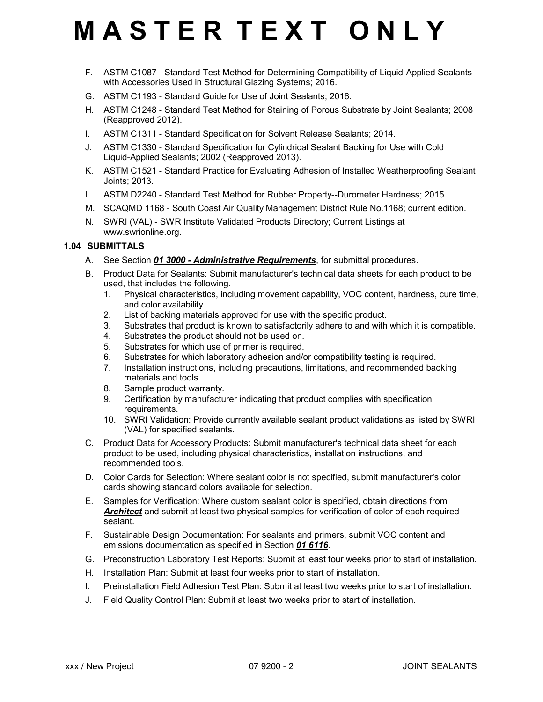# **MASTER TEXT ONLY**

- F. ASTM C1087 Standard Test Method for Determining Compatibility of Liquid-Applied Sealants with Accessories Used in Structural Glazing Systems; 2016.
- G. ASTM C1193 Standard Guide for Use of Joint Sealants; 2016.
- H. ASTM C1248 Standard Test Method for Staining of Porous Substrate by Joint Sealants; 2008 (Reapproved 2012).
- I. ASTM C1311 Standard Specification for Solvent Release Sealants; 2014.
- J. ASTM C1330 Standard Specification for Cylindrical Sealant Backing for Use with Cold Liquid-Applied Sealants; 2002 (Reapproved 2013).
- K. ASTM C1521 Standard Practice for Evaluating Adhesion of Installed Weatherproofing Sealant Joints; 2013.
- L. ASTM D2240 Standard Test Method for Rubber Property--Durometer Hardness; 2015.
- M. SCAQMD 1168 South Coast Air Quality Management District Rule No.1168; current edition.
- N. SWRI (VAL) SWR Institute Validated Products Directory; Current Listings at www.swrionline.org.

### 1.04 SUBMITTALS

- A. See Section 01 3000 Administrative Requirements, for submittal procedures.
- B. Product Data for Sealants: Submit manufacturer's technical data sheets for each product to be used, that includes the following.
	- 1. Physical characteristics, including movement capability, VOC content, hardness, cure time, and color availability.
	- 2. List of backing materials approved for use with the specific product.
	- 3. Substrates that product is known to satisfactorily adhere to and with which it is compatible.
	- 4. Substrates the product should not be used on.
	- 5. Substrates for which use of primer is required.
	- 6. Substrates for which laboratory adhesion and/or compatibility testing is required.
	- 7. Installation instructions, including precautions, limitations, and recommended backing materials and tools.
	- 8. Sample product warranty.
	- 9. Certification by manufacturer indicating that product complies with specification requirements.
	- 10. SWRI Validation: Provide currently available sealant product validations as listed by SWRI (VAL) for specified sealants.
- C. Product Data for Accessory Products: Submit manufacturer's technical data sheet for each product to be used, including physical characteristics, installation instructions, and recommended tools.
- D. Color Cards for Selection: Where sealant color is not specified, submit manufacturer's color cards showing standard colors available for selection.
- E. Samples for Verification: Where custom sealant color is specified, obtain directions from Architect and submit at least two physical samples for verification of color of each required sealant.
- F. Sustainable Design Documentation: For sealants and primers, submit VOC content and emissions documentation as specified in Section 01 6116.
- G. Preconstruction Laboratory Test Reports: Submit at least four weeks prior to start of installation.
- H. Installation Plan: Submit at least four weeks prior to start of installation.
- I. Preinstallation Field Adhesion Test Plan: Submit at least two weeks prior to start of installation.
- J. Field Quality Control Plan: Submit at least two weeks prior to start of installation.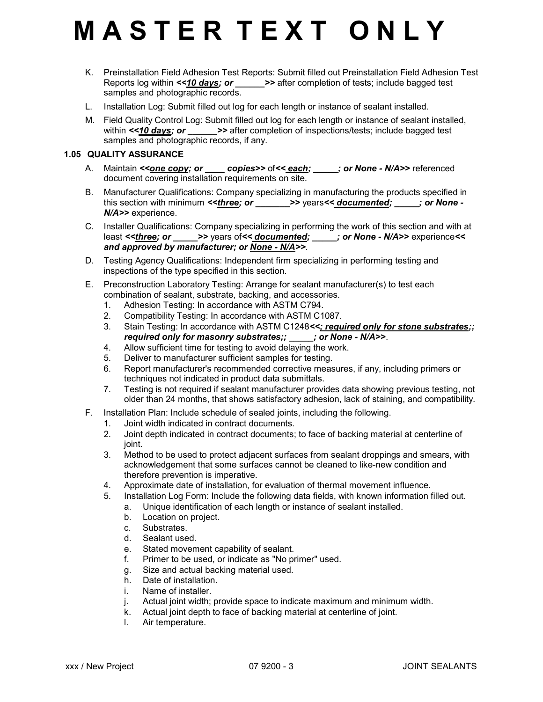- K. Preinstallation Field Adhesion Test Reports: Submit filled out Preinstallation Field Adhesion Test Reports log within <<10 days; or \_\_\_\_\_\_>> after completion of tests; include bagged test samples and photographic records.
- L. Installation Log: Submit filled out log for each length or instance of sealant installed.
- M. Field Quality Control Log: Submit filled out log for each length or instance of sealant installed, within  $\le$  10 days; or  $\ge$  >> after completion of inspections/tests; include bagged test samples and photographic records, if any.

### 1.05 QUALITY ASSURANCE

- A. Maintain <<**one copy; or \_\_\_\_ copies>>** of<< **each; \_\_\_\_\_; or None N/A>>** referenced document covering installation requirements on site.
- B. Manufacturer Qualifications: Company specializing in manufacturing the products specified in this section with minimum  $\leq$  three; or  $\geq$  >> years $\leq$  documented;  $\leq$  ; or None -N/A>> experience.
- C. Installer Qualifications: Company specializing in performing the work of this section and with at least <<*three; or* \_\_\_\_\_>> years of << *documented; \_\_\_\_; or None - N/A>>* experience << and approved by manufacturer; or None - N/A>>.
- D. Testing Agency Qualifications: Independent firm specializing in performing testing and inspections of the type specified in this section.
- E. Preconstruction Laboratory Testing: Arrange for sealant manufacturer(s) to test each combination of sealant, substrate, backing, and accessories.
	- 1. Adhesion Testing: In accordance with ASTM C794.
	- 2. Compatibility Testing: In accordance with ASTM C1087.
	- 3. Stain Testing: In accordance with ASTM C1248<<; required only for stone substrates;; required only for masonry substrates;;  $\qquad$ ; or None - N/A>>.
	- 4. Allow sufficient time for testing to avoid delaying the work.
	- 5. Deliver to manufacturer sufficient samples for testing.
	- 6. Report manufacturer's recommended corrective measures, if any, including primers or techniques not indicated in product data submittals.
	- 7. Testing is not required if sealant manufacturer provides data showing previous testing, not older than 24 months, that shows satisfactory adhesion, lack of staining, and compatibility.
- F. Installation Plan: Include schedule of sealed joints, including the following.
	- 1. Joint width indicated in contract documents.
	- 2. Joint depth indicated in contract documents; to face of backing material at centerline of joint.
	- 3. Method to be used to protect adjacent surfaces from sealant droppings and smears, with acknowledgement that some surfaces cannot be cleaned to like-new condition and therefore prevention is imperative.
	- 4. Approximate date of installation, for evaluation of thermal movement influence.
	- 5. Installation Log Form: Include the following data fields, with known information filled out.
		- a. Unique identification of each length or instance of sealant installed.
			- b. Location on project.
			- c. Substrates.
			- d. Sealant used.
			- e. Stated movement capability of sealant.
			- f. Primer to be used, or indicate as "No primer" used.
			- g. Size and actual backing material used.
			- h. Date of installation.
			- i. Name of installer.
			- j. Actual joint width; provide space to indicate maximum and minimum width.
			- k. Actual joint depth to face of backing material at centerline of joint.
			- l. Air temperature.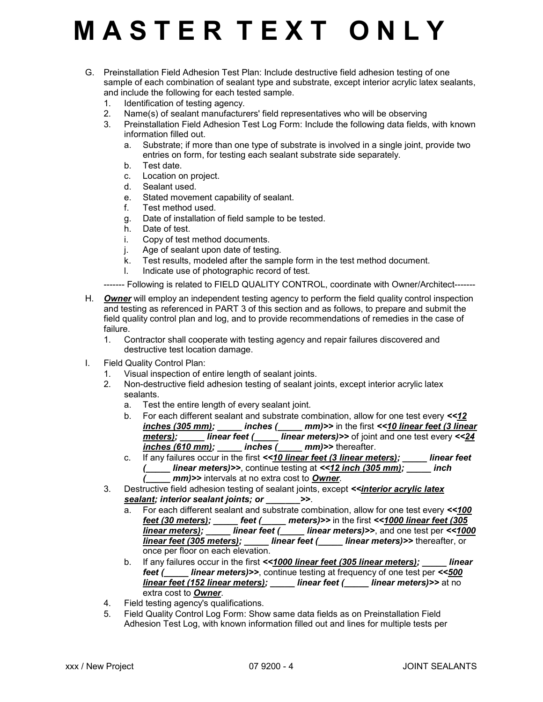- G. Preinstallation Field Adhesion Test Plan: Include destructive field adhesion testing of one sample of each combination of sealant type and substrate, except interior acrylic latex sealants, and include the following for each tested sample.
	- 1. Identification of testing agency.
	- 2. Name(s) of sealant manufacturers' field representatives who will be observing
	- 3. Preinstallation Field Adhesion Test Log Form: Include the following data fields, with known information filled out.
		- a. Substrate; if more than one type of substrate is involved in a single joint, provide two entries on form, for testing each sealant substrate side separately.
		- b. Test date.
		- c. Location on project.
		- d. Sealant used.
		- e. Stated movement capability of sealant.
		- f. Test method used.
		- g. Date of installation of field sample to be tested.
		- h. Date of test.
		- i. Copy of test method documents.
		- j. Age of sealant upon date of testing.
		- k. Test results, modeled after the sample form in the test method document.<br>I. Indicate use of photographic record of test.
		- l. Indicate use of photographic record of test.

------- Following is related to FIELD QUALITY CONTROL, coordinate with Owner/Architect-------

- H. Owner will employ an independent testing agency to perform the field quality control inspection and testing as referenced in PART 3 of this section and as follows, to prepare and submit the field quality control plan and log, and to provide recommendations of remedies in the case of failure.
	- 1. Contractor shall cooperate with testing agency and repair failures discovered and destructive test location damage.
- I. Field Quality Control Plan:
	- 1. Visual inspection of entire length of sealant joints.
	- 2. Non-destructive field adhesion testing of sealant joints, except interior acrylic latex sealants.
		- a. Test the entire length of every sealant joint.
		- b. For each different sealant and substrate combination, allow for one test every <<12 inches (305 mm); \_\_\_\_\_ inches (\_\_\_\_\_ mm)>> in the first <<10 linear feet (3 linear  $\overline{\text{meters}}$ ; linear feet (linear meters)>> of joint and one test every <<24 inches (610 mm); \_\_\_\_\_ inches (\_\_\_\_\_ mm)>> thereafter.
		- c. If any failures occur in the first  $\leq 10$  linear feet (3 linear meters); linear feet ( $\frac{1}{2}$  linear meters)>>, continue testing at <<12 inch (305 mm);  $\frac{1}{2}$  inch mm)>> intervals at no extra cost to Owner.
	- 3. Destructive field adhesion testing of sealant joints, except <<*interior acrylic latex* sealant; interior sealant joints; or  $\rightarrow$ 
		- a. For each different sealant and substrate combination, allow for one test every <<100 feet (30 meters); \_\_\_\_\_ feet (\_\_\_\_\_ meters)>> in the first << $1000$  linear feet (305  $\overline{l}$  linear meters);  $\overline{r}$  linear feet ( $\overline{l}$  linear meters)>>, and one test per <<1000 **linear feet (305 meters); \_\_\_\_\_ linear feet (\_\_\_\_\_ linear meters)>>** thereafter, or once per floor on each elevation.
		- b. If any failures occur in the first <<1000 linear feet (305 linear meters); linear feet (
		linear meters) >>, continue testing at frequency of one test per <<500 linear feet (152 linear meters); linear feet ( \_\_\_\_ linear meters) >> at no extra cost to Owner.
	- 4. Field testing agency's qualifications.
	- 5. Field Quality Control Log Form: Show same data fields as on Preinstallation Field Adhesion Test Log, with known information filled out and lines for multiple tests per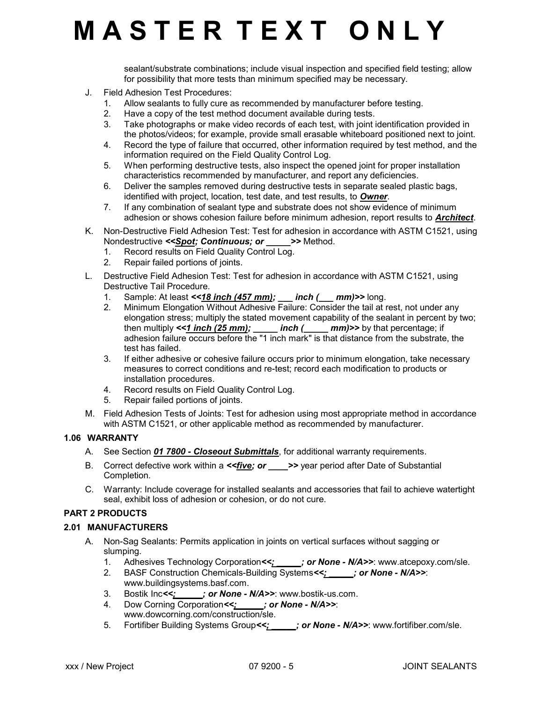sealant/substrate combinations; include visual inspection and specified field testing; allow for possibility that more tests than minimum specified may be necessary.

- J. Field Adhesion Test Procedures:
	- 1. Allow sealants to fully cure as recommended by manufacturer before testing.
	- 2. Have a copy of the test method document available during tests.
	- 3. Take photographs or make video records of each test, with joint identification provided in the photos/videos; for example, provide small erasable whiteboard positioned next to joint.
	- 4. Record the type of failure that occurred, other information required by test method, and the information required on the Field Quality Control Log.
	- 5. When performing destructive tests, also inspect the opened joint for proper installation characteristics recommended by manufacturer, and report any deficiencies.
	- 6. Deliver the samples removed during destructive tests in separate sealed plastic bags, identified with project, location, test date, and test results, to **Owner**.
	- 7. If any combination of sealant type and substrate does not show evidence of minimum adhesion or shows cohesion failure before minimum adhesion, report results to **Architect**.
- K. Non-Destructive Field Adhesion Test: Test for adhesion in accordance with ASTM C1521, using Nondestructive <<Spot; Continuous; or  $\longrightarrow$  Method.
	- 1. Record results on Field Quality Control Log.
	- 2. Repair failed portions of joints.
- L. Destructive Field Adhesion Test: Test for adhesion in accordance with ASTM C1521, using Destructive Tail Procedure.
	- 1. Sample: At least <<**18 inch (457 mm); \_\_\_ inch (\_\_\_ mm)>>** long.
	- 2. Minimum Elongation Without Adhesive Failure: Consider the tail at rest, not under any elongation stress; multiply the stated movement capability of the sealant in percent by two; then multiply  $<<1$  inch (25 mm); \_\_\_\_\_\_ inch (\_\_\_\_\_\_ mm)>> by that percentage; if adhesion failure occurs before the "1 inch mark" is that distance from the substrate, the test has failed.
	- 3. If either adhesive or cohesive failure occurs prior to minimum elongation, take necessary measures to correct conditions and re-test; record each modification to products or installation procedures.
	- 4. Record results on Field Quality Control Log.
	- 5. Repair failed portions of joints.
- M. Field Adhesion Tests of Joints: Test for adhesion using most appropriate method in accordance with ASTM C1521, or other applicable method as recommended by manufacturer.

#### 1.06 WARRANTY

- A. See Section 01 7800 Closeout Submittals, for additional warranty requirements.
- B. Correct defective work within a  $\le$  five; or  $\ge$   $\ge$  year period after Date of Substantial Completion.
- C. Warranty: Include coverage for installed sealants and accessories that fail to achieve watertight seal, exhibit loss of adhesion or cohesion, or do not cure.

### PART 2 PRODUCTS

### 2.01 MANUFACTURERS

- A. Non-Sag Sealants: Permits application in joints on vertical surfaces without sagging or slumping.
	- 1. Adhesives Technology Corporation<s; jor None N/A>>: www.atcepoxy.com/sle.
	- 2. BASF Construction Chemicals-Building Systems<<: : : or None N/A>>: www.buildingsystems.basf.com.
	- 3. Bostik Inc<< *j* or None N/A>>: www.bostik-us.com.
	- 4. Dow Corning Corporation<>>
	: or None N/A>>: www.dowcorning.com/construction/sle.
	- 5. Fortifiber Building Systems Group <<:  $\cdot$  : or None N/A>>: www.fortifiber.com/sle.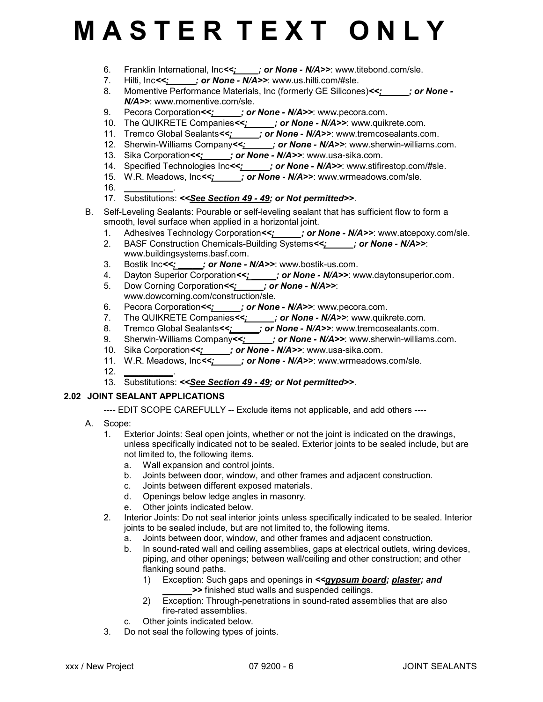- 6. Franklin International, Inc<< $\frac{y}{x}$  or None N/A>>: www.titebond.com/sle.
- 7. Hilti, Inc<<; ; ; or None N/A>>: www.us.hilti.com/#sle.
- 8. Momentive Performance Materials, Inc (formerly GE Silicones)<<;  $\cdot$  ; or None -N/A>>: www.momentive.com/sle.
- 9. Pecora Corporation<>>>; or None N/A>>: www.pecora.com.
- 10. The QUIKRETE Companies<>>>  $\frac{1}{2}$  or None N/A>>: www.quikrete.com.
- 11. Tremco Global Sealants<>>  $\frac{1}{2}$  or None N/A>>: www.tremcosealants.com.
- 11. The constant of the company of the company of **None N/A>>**: www.sherwin-williams.com.
- 13. Sika Corporation<>>>  $\frac{1}{2}$  or None N/A>>: www.usa-sika.com.
- 14. Specified Technologies Inc<<; jor None N/A>>: www.stifirestop.com/#sle.
- 15. W.R. Meadows, Inc<<;  $\overline{\phantom{a}}$ ; or None N/A>>: www.wrmeadows.com/sle.
- 16. \_\_\_\_\_\_\_\_\_\_.
- 17. Substitutions: <<See Section 49 49; or Not permitted>>.
- B. Self-Leveling Sealants: Pourable or self-leveling sealant that has sufficient flow to form a smooth, level surface when applied in a horizontal joint.
	- 1. Adhesives Technology Corporation<s; jor None N/A>>: www.atcepoxy.com/sle.
	- 2. BASF Construction Chemicals-Building Systems<<; yer None N/A>>: www.buildingsystems.basf.com.
	- 3. Bostik Inc< $\leq$  \_\_\_\_\_; or None N/A>>: www.bostik-us.com.
	- 4. Dayton Superior Corporation<<<u>; \_\_\_\_</u>; or None N/A>>: www.daytonsuperior.com.
	- 5. Dow Corning Corporation<>>: y or None N/A>>: www.dowcorning.com/construction/sle.
	- 6. Pecora Corporation <<: jor None N/A>>: www.pecora.com.
	- 7. The QUIKRETE Companies<<; jer None N/A>>: www.quikrete.com.
	- 8. Tremco Global Sealants<<<u>; .</u>; **or None N/A>>**: www.tremcosealants.com.
	- 9. Sherwin-Williams Company<<: \_ \_ \_; or None N/A>>: www.sherwin-williams.com.
	- 10. Sika Corporation<<<u>; jor None N/A>>:</u> www.usa-sika.com.
	- 11. W.R. Meadows, Inc<< *j* or None N/A>>: www.wrmeadows.com/sle.
	- $12.$
	- 13. Substitutions: <<See Section 49 49; or Not permitted>>.

### 2.02 JOINT SEALANT APPLICATIONS

---- EDIT SCOPE CAREFULLY -- Exclude items not applicable, and add others ----

- A. Scope:
	- 1. Exterior Joints: Seal open joints, whether or not the joint is indicated on the drawings, unless specifically indicated not to be sealed. Exterior joints to be sealed include, but are not limited to, the following items.
		- a. Wall expansion and control joints.
		- b. Joints between door, window, and other frames and adjacent construction.
		- c. Joints between different exposed materials.
		- d. Openings below ledge angles in masonry.
		- e. Other joints indicated below.
	- 2. Interior Joints: Do not seal interior joints unless specifically indicated to be sealed. Interior joints to be sealed include, but are not limited to, the following items.
		- a. Joints between door, window, and other frames and adjacent construction.
		- b. In sound-rated wall and ceiling assemblies, gaps at electrical outlets, wiring devices, piping, and other openings; between wall/ceiling and other construction; and other flanking sound paths.
			- 1) Exception: Such gaps and openings in << gypsum board; plaster; and >> finished stud walls and suspended ceilings.
			- 2) Exception: Through-penetrations in sound-rated assemblies that are also fire-rated assemblies.
		- c. Other joints indicated below.
	- 3. Do not seal the following types of joints.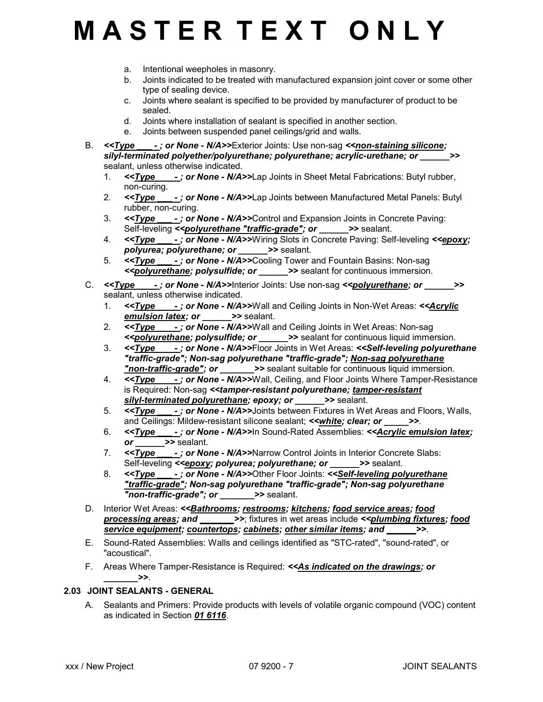- a. Intentional weepholes in masonry.
- b. Joints indicated to be treated with manufactured expansion joint cover or some other type of sealing device.
- c. Joints where sealant is specified to be provided by manufacturer of product to be sealed.
- d. Joints where installation of sealant is specified in another section.
- e. Joints between suspended panel ceilings/grid and walls.
- B. <<**Type --; or None N/A>>Exterior Joints: Use non-sag <<***non-staining silicone;* silyl-terminated polyether/polyurethane; polyurethane; acrylic-urethane; or \_\_\_\_\_ sealant, unless otherwise indicated.
	- 1. <<**Type -; or None N/A>>Lap Joints in Sheet Metal Fabrications: Butyl rubber,** non-curing.
	- 2. <<**Type -; or None N/A>>Lap Joints between Manufactured Metal Panels: Butyl** rubber, non-curing.
	- 3. <<**Type -; or None N/A>>Control and Expansion Joints in Concrete Paving:** Self-leveling <<*polyurethane "traffic-grade"; or \_\_\_\_\_* >> sealant.
	- 4. <<**Type -: or None N/A>>Wiring Slots in Concrete Paving: Self-leveling <<epoxy;** polyurea; polyurethane; or  $\longrightarrow$  sealant.
	- 5. <<Type -; or None N/A>>Cooling Tower and Fountain Basins: Non-sag <<*polyurethane; polysulfide; or \_\_\_\_\_\_>>* sealant for continuous immersion.
- C.  $\leq$ Type -; or None N/A>>Interior Joints: Use non-sag  $\leq$ polyurethane; or  $\geq$ sealant, unless otherwise indicated.
	- 1. <<**Type -; or None N/A>>Wall and Ceiling Joints in Non-Wet Areas: << Acrylic** emulsion latex; or  $\longrightarrow$  sealant.
	- 2.  $\leq$   $\leq$   $\leq$   $\leq$   $\leq$   $\leq$   $\leq$   $\leq$   $\leq$   $\leq$   $\leq$   $\leq$   $\leq$   $\leq$   $\leq$   $\leq$   $\leq$   $\leq$   $\leq$   $\leq$   $\leq$   $\leq$   $\leq$   $\leq$   $\leq$   $\leq$   $\leq$   $\leq$   $\leq$   $\leq$   $\leq$   $\leq$   $\leq$   $\leq$   $\leq$   $\leq$   $\$ <<polyurethane; polysulfide; or \_\_\_\_\_\_>> sealant for continuous liquid immersion.
	- 3. <<**Type** -; or None N/A>>Floor Joints in Wet Areas: <<Self-leveling polyurethane "traffic-grade"; Non-sag polyurethane "traffic-grade"; Non-sag polyurethane "non-traffic-grade"; or \_\_\_\_\_\_>> sealant suitable for continuous liquid immersion.
	- 4.  $\leq$ Type  $\cdot$ ; or None N/A>>Wall, Ceiling, and Floor Joints Where Tamper-Resistance is Required: Non-sag <<tamper-resistant polyurethane; tamper-resistant silyl-terminated polyurethane; epoxy; or  $\longrightarrow$  sealant.
	- 5. <<**Type -: or None N/A>>Joints between Fixtures in Wet Areas and Floors, Walls,** and Ceilings: Mildew-resistant silicone sealant; < white; clear; or  $\rightarrow$
	- 6. << Type -; or None N/A>>In Sound-Rated Assemblies: << Acrylic emulsion latex; or  $\rightharpoonup$  >> sealant.
	- 7. <<**Type -; or None N/A>>Narrow Control Joints in Interior Concrete Slabs:** Self-leveling <<**epoxy; polyurea; polyurethane; or \_\_\_\_\_\_>>** sealant.
	- 8. <<**Type** -; or None N/A>>Other Floor Joints: <<Self-leveling polyurethane "traffic-grade"; Non-sag polyurethane "traffic-grade"; Non-sag polyurethane "non-traffic-grade"; or  $\longrightarrow$  sealant.
- D. Interior Wet Areas: << Bathrooms; restrooms; kitchens; food service areas; food processing areas; and \_\_\_\_\_\_\_>>; fixtures in wet areas include <<plumbing fixtures; food service equipment; countertops; cabinets; other similar items; and \_\_\_\_\_\_>>.
- E. Sound-Rated Assemblies: Walls and ceilings identified as "STC-rated", "sound-rated", or "acoustical".
- F. Areas Where Tamper-Resistance is Required: << As indicated on the drawings; or  $\rightarrow$

### 2.03 JOINT SEALANTS - GENERAL

A. Sealants and Primers: Provide products with levels of volatile organic compound (VOC) content as indicated in Section 01 6116.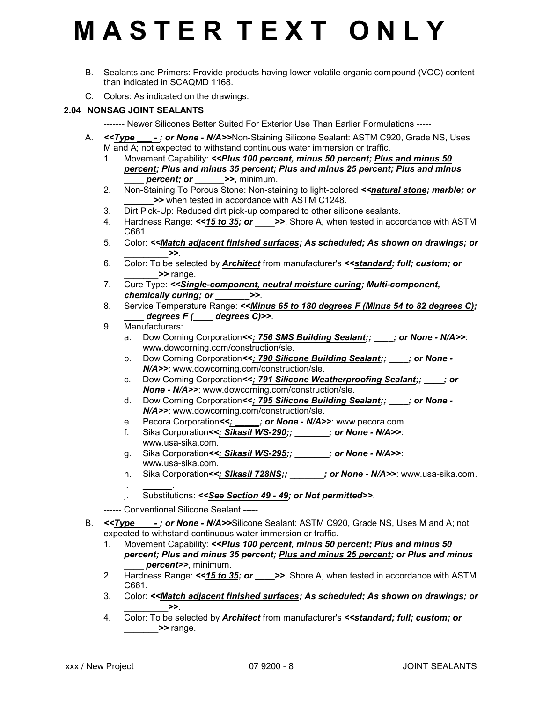- B. Sealants and Primers: Provide products having lower volatile organic compound (VOC) content than indicated in SCAQMD 1168.
- C. Colors: As indicated on the drawings.

### 2.04 NONSAG JOINT SEALANTS

- ------- Newer Silicones Better Suited For Exterior Use Than Earlier Formulations -----
- A. <<**Type -: or None N/A>>Non-Staining Silicone Sealant: ASTM C920, Grade NS, Uses** M and A; not expected to withstand continuous water immersion or traffic.
	- 1. Movement Capability: << Plus 100 percent, minus 50 percent; Plus and minus 50 percent; Plus and minus 35 percent; Plus and minus 25 percent; Plus and minus percent; or  $\rightarrow$ , minimum.
	- 2. Non-Staining To Porous Stone: Non-staining to light-colored <<*natural stone; marble; or* \_\_\_\_\_\_>> when tested in accordance with ASTM C1248.
	- 3. Dirt Pick-Up: Reduced dirt pick-up compared to other silicone sealants.
	- 4. Hardness Range:  $\le$ 15 to 35; or  $\implies$ , Shore A, when tested in accordance with ASTM C661.
	- 5. Color: <<Match adjacent finished surfaces; As scheduled; As shown on drawings; or  $\geq$
	- 6. Color: To be selected by **Architect** from manufacturer's <<**standard; full; custom; or** \_\_\_\_\_\_\_>> range.
	- 7. Cure Type: <<Single-component, neutral moisture curing; Multi-component, chemically curing; or  $\rightarrow$
	- 8. Service Temperature Range: << Minus 65 to 180 degrees F (Minus 54 to 82 degrees C);  $degrees F$  (  $degrees C$ )>>.
	- 9. Manufacturers:
		- a. Dow Corning Corporation<<: 756 SMS Building Sealant:; : or None N/A>>: www.dowcorning.com/construction/sle.
		- b. Dow Corning Corporation<<>>
		: 790 Silicone Building Sealant;; \_\_\_\_; or None -N/A>>: www.dowcorning.com/construction/sle.
		- c. Dow Corning Corporation<<>>
		: 791 Silicone Weatherproofing Sealant;< None - N/A>>: www.dowcorning.com/construction/sle.
		- d. Dow Corning Corporation<<; 795 Silicone Building Sealant;; expression N/A>>: www.dowcorning.com/construction/sle.
		- e. Pecora Corporation <<;  $\cdot$  ; or None N/A>>: www.pecora.com.
		- f. Sika Corporation<<; Sikasil WS-290;; \_\_\_\_\_\_; or None N/A>>: www.usa-sika.com.
		- g. Sika Corporation<<: Sikasil WS-295;; \_\_\_\_\_\_; or None N/A>>: www.usa-sika.com.
		- h. Sika Corporation<<; Sikasil 728NS;;  $\cdot$  ; or None N/A>>: www.usa-sika.com.  $i$ .
		- j. Substitutions: <<See Section 49 49; or Not permitted>>.
	- ------ Conventional Silicone Sealant -----
- B. <<**Type -; or None N/A>>Silicone Sealant: ASTM C920, Grade NS, Uses M and A; not** expected to withstand continuous water immersion or traffic.
	- 1. Movement Capability: << Plus 100 percent, minus 50 percent; Plus and minus 50 percent; Plus and minus 35 percent; Plus and minus 25 percent; or Plus and minus percent>>, minimum.
	- 2. Hardness Range:  $\le$ 15 to 35; or  $\implies$ , Shore A, when tested in accordance with ASTM C661.
	- 3. Color: <<Match adjacent finished surfaces; As scheduled; As shown on drawings; or  $\rightarrow$
	- 4. Color: To be selected by **Architect** from manufacturer's **<<standard; full; custom; or**  $\longrightarrow$  range.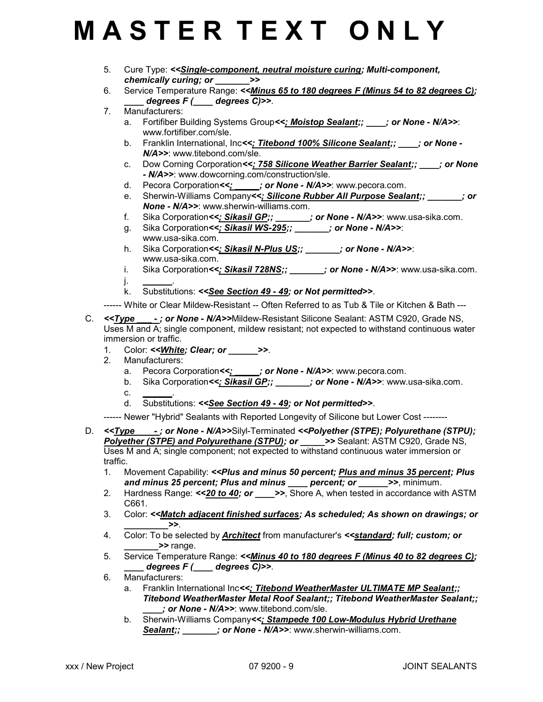- 5. Cure Type: <<Single-component, neutral moisture curing; Multi-component, chemically curing; or \_\_\_\_\_\_\_>>
- 6. Service Temperature Range: <<Minus 65 to 180 degrees F (Minus 54 to 82 degrees C); degrees  $F$  ( $\_\_\_\_$  degrees C) >>.
- 7. Manufacturers:
	- a. Fortifiber Building Systems Group<<; **Moistop Sealant;; cor None N/A>>:** www.fortifiber.com/sle.
	- b. Franklin International, Inc<<; Titebond 100% Silicone Sealant;; \_\_\_; or None -N/A>>: www.titebond.com/sle.
	- c. Dow Corning Corporation<<; 758 Silicone Weather Barrier Sealant;; \_\_\_\_; or None - N/A>>: www.dowcorning.com/construction/sle.
	- d. Pecora Corporation << ; jor None N/A>>: www.pecora.com.
	- e. Sherwin-Williams Company<<; Silicone Rubber All Purpose Sealant;; \_\_\_\_\_\_; or None - N/A>>: www.sherwin-williams.com.
	- f. Sika Corporation<<<u>; Sikasil GP;; \_\_\_\_\_\_</u>; or None N/A>>: www.usa-sika.com.
	- g. Sika Corporation<<  $\frac{1}{2}$  Sika Corporation<  $\frac{1}{2}$  Sikasil WS-295;;  $\frac{1}{2}$  or None N/A>>: www.usa-sika.com.
	- h. Sika Corporation<<; Sikasil N-Plus US;; \_\_\_\_\_\_; or None N/A>>: www.usa-sika.com.
	- i. Sika Corporation<<<u>; Sikasil 728NS;; \_\_\_\_\_\_</u>; or None N/A>>: www.usa-sika.com. j. \_\_\_\_\_\_.
	- k. Substitutions: <<See Section 49 49; or Not permitted>>.
- ------ White or Clear Mildew-Resistant -- Often Referred to as Tub & Tile or Kitchen & Bath ---
- C. <<**Type -: or None N/A>>Mildew-Resistant Silicone Sealant: ASTM C920, Grade NS,** Uses M and A; single component, mildew resistant; not expected to withstand continuous water immersion or traffic.
	- 1. Color: << White; Clear; or  $\rightarrow$
	- 2. Manufacturers:
		- a. Pecora Corporation<<; \_\_\_\_; or None N/A>>: www.pecora.com.
		- b. Sika Corporation<<: Sikasil GP;; \_\_\_\_\_\_; or None N/A>>: www.usa-sika.com.
		- $\mathbf{c}$
		- d. Substitutions: << See Section 49 49; or Not permitted>>.

------ Newer "Hybrid" Sealants with Reported Longevity of Silicone but Lower Cost --------

- D. <<Type -; or None N/A>>Silyl-Terminated <<Polyether (STPE); Polyurethane (STPU); Polyether (STPE) and Polyurethane (STPU); or  $\longrightarrow$  >> Sealant: ASTM C920, Grade NS, Uses M and A; single component; not expected to withstand continuous water immersion or traffic.
	- 1. Movement Capability: << Plus and minus 50 percent; Plus and minus 35 percent; Plus and minus 25 percent; Plus and minus \_\_\_\_ percent; or \_\_\_\_\_>>, minimum.
	- 2. Hardness Range:  $\le 20$  to 40; or  $\ge$ >, Shore A, when tested in accordance with ASTM C661.
	- 3. Color: <<Match adjacent finished surfaces; As scheduled; As shown on drawings; or  $\ge$
	- 4. Color: To be selected by Architect from manufacturer's <<standard; full; custom; or >> range.
	- 5. Service Temperature Range: <<**Minus 40 to 180 degrees F (Minus 40 to 82 degrees C)**;  $degrees F$  (  $degrees C$ )>>.
	- 6. Manufacturers:
		- a. Franklin International Inc<<; Titebond WeatherMaster ULTIMATE MP Sealant;; Titebond WeatherMaster Metal Roof Sealant;; Titebond WeatherMaster Sealant;; : or None - N/A>>: www.titebond.com/sle.
		- b. Sherwin-Williams Company<<; Stampede 100 Low-Modulus Hybrid Urethane Sealant;;  $\cdot$  ; or None - N/A>>: www.sherwin-williams.com.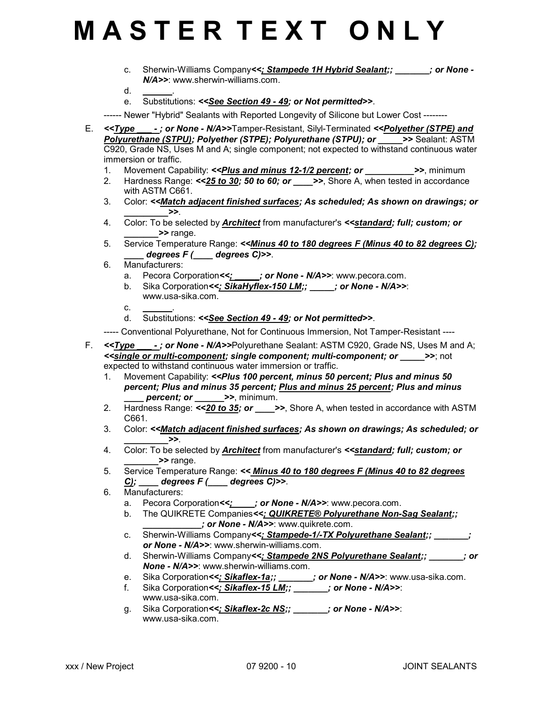c. Sherwin-Williams Company<<; Stampede 1H Hybrid Sealant;; except or None -N/A>>: www.sherwin-williams.com.

- $d_{\cdot}$
- e. Substitutions: <<See Section 49 49; or Not permitted>>.

------ Newer "Hybrid" Sealants with Reported Longevity of Silicone but Lower Cost --------

- E. <<Type -: or None N/A>>Tamper-Resistant, Silvl-Terminated <<Polyether (STPE) and Polyurethane (STPU); Polyether (STPE); Polyurethane (STPU); or  $\longrightarrow$  Sealant: ASTM C920, Grade NS, Uses M and A; single component; not expected to withstand continuous water immersion or traffic.
	- 1. Movement Capability: <<*Plus and minus 12-1/2 percent; or* >>, minimum
	- 2. Hardness Range:  $\le 25$  to 30; 50 to 60; or  $\implies$ , Shore A, when tested in accordance with ASTM C661.
	- 3. Color: <<Match adjacent finished surfaces; As scheduled; As shown on drawings; or  $>$
	- 4. Color: To be selected by Architect from manufacturer's <<standard; full; custom; or >> range.
	- 5. Service Temperature Range: <<**Minus 40 to 180 degrees F (Minus 40 to 82 degrees C)**;  $degrees F$  (  $degrees C$ )>>.
	- 6. Manufacturers:
		- a. Pecora Corporation<>>  $\frac{2}{1}$  or None N/A>>: www.pecora.com.
		- b. Sika Corporation<<; SikaHyflex-150 LM;; \_\_\_\_; or None N/A>>: www.usa-sika.com.
		- $c_{\cdot}$
		- d. Substitutions: << See Section 49 49; or Not permitted>>.
	- ----- Conventional Polyurethane, Not for Continuous Immersion, Not Tamper-Resistant ----
- F. <<**Type -: or None N/A>>Polyurethane Sealant: ASTM C920, Grade NS, Uses M and A;** <<single or multi-component; single component; multi-component; or \_\_\_\_\_>>; not expected to withstand continuous water immersion or traffic.
	- 1. Movement Capability: << Plus 100 percent, minus 50 percent; Plus and minus 50 percent; Plus and minus 35 percent; Plus and minus 25 percent; Plus and minus  $percent; or \_\_\_\$   $\geq$ , minimum.
	- 2. Hardness Range:  $\le 20$  to 35; or  $\implies$ , Shore A, when tested in accordance with ASTM C661.
	- 3. Color: << Match adjacent finished surfaces; As shown on drawings; As scheduled; or  $\geq$
	- 4. Color: To be selected by **Architect** from manufacturer's **<<standard; full; custom; or** >> range.
	- 5. Service Temperature Range: << Minus 40 to 180 degrees F (Minus 40 to 82 degrees  $\underline{C}$ ; degrees  $F$  ( degrees  $C$ )>>.
	- 6. Manufacturers:
		- a. Pecora Corporation <<:  $\therefore$  or None N/A>>: www.pecora.com.
		- b. The QUIKRETE Companies<<; QUIKRETE® Polyurethane Non-Sag Sealant;;  $\rightarrow$ ; or None - N/A>>: www.quikrete.com.
		- c. Sherwin-Williams Company<<; Stampede-1/-TX Polyurethane Sealant;; \_\_\_\_\_\_; or None - N/A>>: www.sherwin-williams.com.
		- d. Sherwin-Williams Company<<: Stampede 2NS Polyurethane Sealant;; \_\_\_\_\_\_\_; or None - N/A>>: www.sherwin-williams.com.
		- e. Sika Corporation<<: Sikaflex-1a;; \_\_\_\_\_\_; or None N/A>>: www.usa-sika.com.
		- f. Sika Corporation<<: Sikaflex-15 LM;; \_\_\_\_\_\_\_; or None N/A>>: www.usa-sika.com.
		- g. Sika Corporation<<; Sikaflex-2c NS;; \_\_\_\_\_\_\_; or None N/A>>: www.usa-sika.com.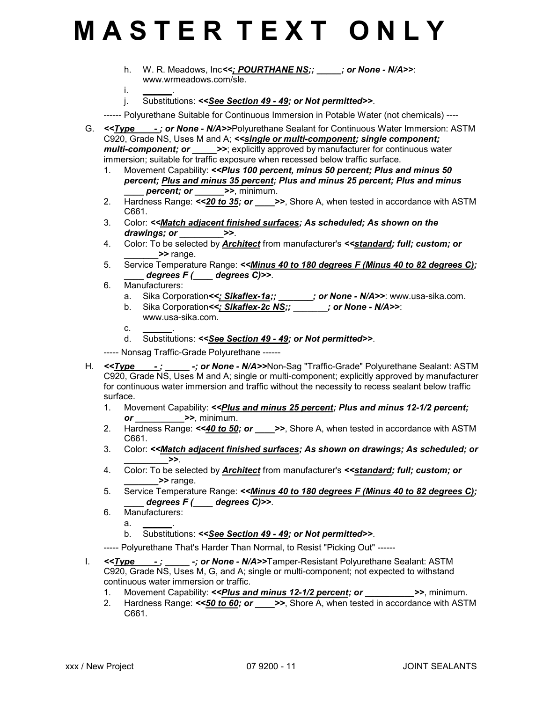- h. W. R. Meadows, Inc<<: POURTHANE NS;; jor None N/A>>: www.wrmeadows.com/sle.
- i. <u>\_\_\_\_\_</u>.
- j. Substitutions: << See Section 49 49; or Not permitted>>.

------ Polyurethane Suitable for Continuous Immersion in Potable Water (not chemicals) ----

- G. <<**Type -: or None N/A>>Polyurethane Sealant for Continuous Water Immersion: ASTM** C920, Grade NS, Uses M and A; < single or multi-component; single component; multi-component; or  $\rightarrow$ >; explicitly approved by manufacturer for continuous water immersion; suitable for traffic exposure when recessed below traffic surface.
	- 1. Movement Capability: <<Plus 100 percent, minus 50 percent; Plus and minus 50 percent; Plus and minus 35 percent; Plus and minus 25 percent; Plus and minus percent; or  $\longrightarrow$ , minimum.
	- 2. Hardness Range:  $\le 20$  to 35; or  $\implies$ , Shore A, when tested in accordance with ASTM C661.
	- 3. Color: <<Match adjacent finished surfaces; As scheduled; As shown on the drawings; or \_\_\_\_\_\_\_\_>>.
	- 4. Color: To be selected by Architect from manufacturer's <<standard; full; custom; or >> range.
	- 5. Service Temperature Range: <<Minus 40 to 180 degrees F (Minus 40 to 82 degrees C);  $degrees F$  (  $degrees C$ )>>.
	- 6. Manufacturers:
		- a. Sika Corporation<<: Sikaflex-1a;; \_\_\_\_\_\_; or None N/A>>: www.usa-sika.com.
		- b. Sika Corporation<<: Sikaflex-2c NS;; \_\_\_\_\_\_; or None N/A>>: www.usa-sika.com.
		- c. \_\_\_\_\_\_.
		- d. Substitutions: <<See Section 49 49; or Not permitted>>.

----- Nonsag Traffic-Grade Polyurethane ------

- H. <<Type -; -; or None N/A>>Non-Sag "Traffic-Grade" Polyurethane Sealant: ASTM C920, Grade NS, Uses M and A; single or multi-component; explicitly approved by manufacturer for continuous water immersion and traffic without the necessity to recess sealant below traffic surface.
	- 1. Movement Capability: << Plus and minus 25 percent; Plus and minus 12-1/2 percent;  $or$   $\rightarrow$   $\rightarrow$ , minimum.
	- 2. Hardness Range:  $\le$  40 to 50; or  $\implies$ , Shore A, when tested in accordance with ASTM C661.
	- 3. Color: <<Match adjacent finished surfaces; As shown on drawings; As scheduled; or  $>$
	- 4. Color: To be selected by Architect from manufacturer's <<standard; full; custom; or \_\_\_\_\_\_\_>> range.
	- 5. Service Temperature Range: << Minus 40 to 180 degrees F (Minus 40 to 82 degrees C);  $\frac{1}{2}$  degrees  $F$  (  $\frac{1}{2}$  degrees C)>>.
	- 6. Manufacturers:
		- a. \_\_\_\_\_\_.
		- b. Substitutions: <<See Section 49 49; or Not permitted>>.
	- ----- Polyurethane That's Harder Than Normal, to Resist "Picking Out" ------
- I. <<Type -;  $\rightarrow$  or None N/A>>Tamper-Resistant Polyurethane Sealant: ASTM C920, Grade NS, Uses M, G, and A; single or multi-component; not expected to withstand continuous water immersion or traffic.
	- 1. Movement Capability: <<*Plus and minus 12-1/2 percent; or* >>, minimum.
	- 2. Hardness Range:  $\le 50$  to 60; or  $\implies$  Shore A, when tested in accordance with ASTM C661.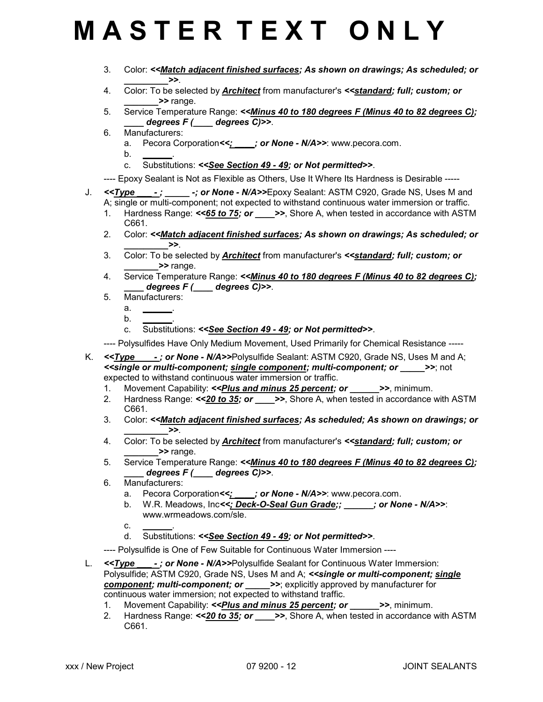- 3. Color: <<Match adjacent finished surfaces; As shown on drawings; As scheduled; or  $\geq$
- 4. Color: To be selected by **Architect** from manufacturer's **<<standard; full; custom; or** \_\_\_\_\_\_\_>> range.
- 5. Service Temperature Range: << Minus 40 to 180 degrees F (Minus 40 to 82 degrees C); degrees  $F$  (  $\qquad$  degrees C)>>.
- 6. Manufacturers:
	- a. Pecora Corporation <<:  $\therefore$  or None N/A>>: www.pecora.com.
	- $b_{\cdot}$
	- c. Substitutions: <<See Section 49 49; or Not permitted>>.
- ---- Epoxy Sealant is Not as Flexible as Others, Use It Where Its Hardness is Desirable -----
- J. <<**Type -; \_\_\_\_ -; or None N/A>>Epoxy Sealant: ASTM C920, Grade NS, Uses M and** A; single or multi-component; not expected to withstand continuous water immersion or traffic.
	- 1. Hardness Range:  $\le 65$  to 75; or  $\implies$ , Shore A, when tested in accordance with ASTM C661.
	- 2. Color: << Match adjacent finished surfaces; As shown on drawings; As scheduled; or  $\ge$
	- 3. Color: To be selected by Architect from manufacturer's <<standard; full; custom; or >> range.
	- 4. Service Temperature Range: << Minus 40 to 180 degrees F (Minus 40 to 82 degrees C); degrees  $F$  (  $\qquad$  degrees C)>>.
	- 5. Manufacturers:
		- $a_{\cdot}$
		- $b<sub>r</sub>$
		- c. Substitutions: <<See Section 49 49; or Not permitted>>.
	- ---- Polysulfides Have Only Medium Movement, Used Primarily for Chemical Resistance -----
- K. <<**Type -; or None N/A>>Polysulfide Sealant: ASTM C920, Grade NS, Uses M and A;** <<single or multi-component; single component; multi-component; or \_\_\_\_\_>>; not expected to withstand continuous water immersion or traffic.
	- 1. Movement Capability: <<*Plus and minus 25 percent; or*  $\rightarrow$ >, minimum.
	- 2. Hardness Range:  $\le 20$  to 35; or  $\implies$ , Shore A, when tested in accordance with ASTM C661.
	- 3. Color: <<**Match adjacent finished surfaces; As scheduled; As shown on drawings; or**  $\geq$
	- 4. Color: To be selected by Architect from manufacturer's <<standard; full; custom; or >> range.
	- 5. Service Temperature Range: <<Minus 40 to 180 degrees F (Minus 40 to 82 degrees C); degrees  $F$  ( $\_\_\_\$  degrees C) >>.
	- 6. Manufacturers:
		- a. Pecora Corporation <<;  $\cdot$  ; or None N/A>>: www.pecora.com.
		- b. W.R. Meadows, Inc<<; Deck-O-Seal Gun Grade;; jor None N/A>>: www.wrmeadows.com/sle.
		- $c_{\cdot}$
		- d. Substitutions: <<See Section 49 49; or Not permitted>>.
	- ---- Polysulfide is One of Few Suitable for Continuous Water Immersion ----
- L. <<**Type -: or None N/A>>Polysulfide Sealant for Continuous Water Immersion:** Polysulfide; ASTM C920, Grade NS, Uses M and A; < single or multi-component; single component; multi-component; or \_\_\_\_\_>>; explicitly approved by manufacturer for continuous water immersion; not expected to withstand traffic.
	- 1. Movement Capability: <<**Plus and minus 25 percent; or \_\_\_\_\_\_\_\_\_>>**, minimum.
	- 2. Hardness Range:  $\le 20$  to 35; or  $\implies$  Shore A, when tested in accordance with ASTM C661.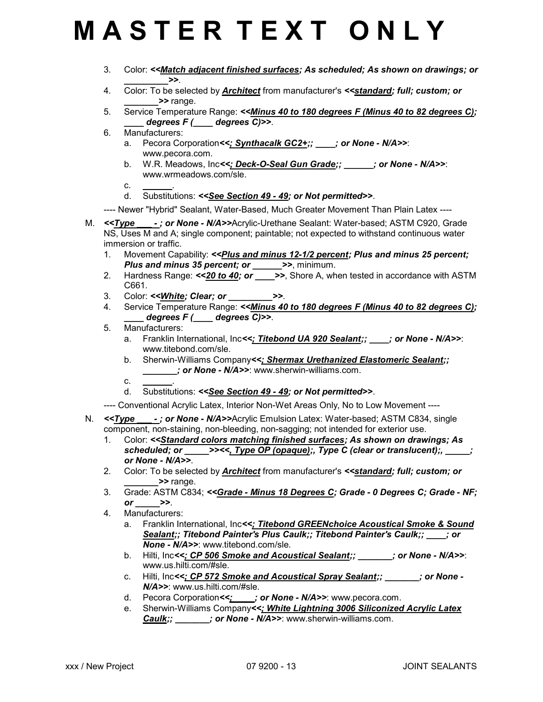- 3. Color: <<Match adjacent finished surfaces; As scheduled; As shown on drawings; or  $\geq$
- 4. Color: To be selected by **Architect** from manufacturer's **<<standard; full; custom; or** \_\_\_\_\_\_\_>> range.
- 5. Service Temperature Range: <<Minus 40 to 180 degrees F (Minus 40 to 82 degrees C);  $degrees F$  (  $degrees C$ )>>.
- 6. Manufacturers:
	- a. Pecora Corporation<<: Synthacalk GC2+;; jor None N/A>>: www.pecora.com.
	- b. W.R. Meadows, Inc<<; Deck-O-Seal Gun Grade;; \_\_\_\_\_\_; or None N/A>>: www.wrmeadows.com/sle.
	- $c_{-}$
	- d. Substitutions: <<See Section 49 49; or Not permitted>>.

---- Newer "Hybrid" Sealant, Water-Based, Much Greater Movement Than Plain Latex ----

- M. <<Type -; or None N/A>>Acrylic-Urethane Sealant: Water-based; ASTM C920, Grade NS, Uses M and A; single component; paintable; not expected to withstand continuous water immersion or traffic.
	- 1. Movement Capability: <<*Plus and minus 12-1/2 percent; Plus and minus 25 percent;* Plus and minus 35 percent; or  $\rightarrow$  >>, minimum.
	- 2. Hardness Range:  $\le 20$  to 40; or  $\implies$  Shore A, when tested in accordance with ASTM C661.
	- 3. Color: << White; Clear; or  $\rightarrow$
	- 4. Service Temperature Range: <<**Minus 40 to 180 degrees F (Minus 40 to 82 degrees C);**  $degrees F$  (  $degrees C$ )>>.
	- 5. Manufacturers:
		- a. Franklin International, Inc<<; Titebond UA 920 Sealant;; cor None N/A>>: www.titebond.com/sle.
		- b. Sherwin-Williams Company<<; Shermax Urethanized Elastomeric Sealant;; ; or None - N/A>>: www.sherwin-williams.com.
		- $c_{\cdot}$
		- d. Substitutions: <<See Section 49 49; or Not permitted>>.

---- Conventional Acrylic Latex, Interior Non-Wet Areas Only, No to Low Movement ----

- N. <<**Type -; or None N/A>>Acrylic Emulsion Latex: Water-based; ASTM C834, single** component, non-staining, non-bleeding, non-sagging; not intended for exterior use.
	- 1. Color: <<Standard colors matching finished surfaces; As shown on drawings; As scheduled; or  $\rule{1em}{0.5em}$  >><<, Type OP (opaque);, Type C (clear or translucent);,  $\rule{1.5em}{0.5em}$ ; or None - N/A>>.
	- 2. Color: To be selected by **Architect** from manufacturer's <<**standard; full; custom; or** >> range.
	- 3. Grade: ASTM C834; <<Grade Minus 18 Degrees C; Grade 0 Degrees C; Grade NF; or  $\rightarrow$ .
	- 4. Manufacturers:
		- a. Franklin International, Inc<<; Titebond GREENchoice Acoustical Smoke & Sound Sealant;; Titebond Painter's Plus Caulk;; Titebond Painter's Caulk;; increased to None - N/A>>: www.titebond.com/sle.
		- b. Hilti, Inc<<: CP 506 Smoke and Acoustical Sealant;; \_\_\_\_\_\_; or None N/A>>: www.us.hilti.com/#sle.
		- c. Hilti, Inc<<; CP 572 Smoke and Acoustical Spray Sealant;;  $\cdot$  ; or None -N/A>>: www.us.hilti.com/#sle.
		- d. Pecora Corporation<<; jor None N/A>>: www.pecora.com.
		- e. Sherwin-Williams Company<<: White Lightning 3006 Siliconized Acrylic Latex Caulk;; \_\_\_\_\_\_\_; or None - N/A>>: www.sherwin-williams.com.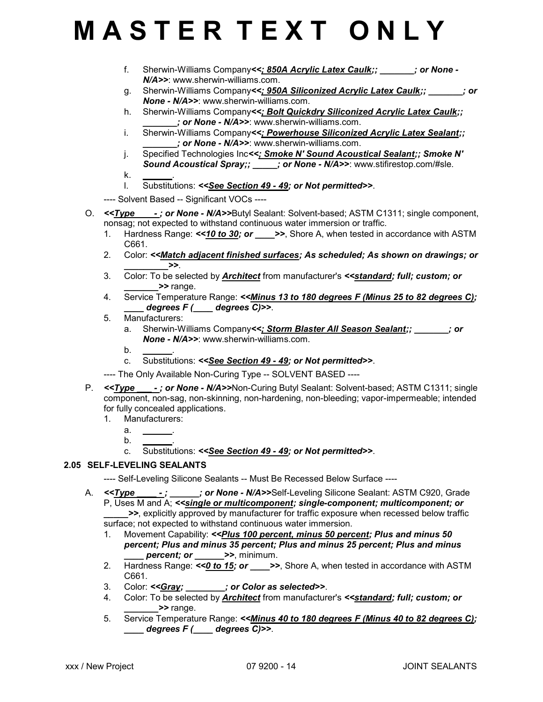- f. Sherwin-Williams Company<<: 850A Acrylic Latex Caulk;;  $\cdot$  : or None -N/A>>: www.sherwin-williams.com.
- g. Sherwin-Williams Company<<; 950A Siliconized Acrylic Latex Caulk;;  $\cdot$  ; or None - N/A>>: www.sherwin-williams.com.
- h. Sherwin-Williams Company<<>>
<>
<> **Bolt Quickdry Siliconized Acrylic Latex Caulk;** \_\_\_\_\_\_\_; or None - N/A>>: www.sherwin-williams.com.
- i. Sherwin-Williams Company<<; Powerhouse Siliconized Acrylic Latex Sealant:; : or None - N/A>>: www.sherwin-williams.com.
- j. Specified Technologies Inc<<; Smoke N' Sound Acoustical Sealant;; Smoke N' Sound Acoustical Spray;; \_\_\_\_\_; or None - N/A>>: www.stifirestop.com/#sle.
- $\mathsf k$ .
- l. Substitutions: <<See Section 49 49; or Not permitted>>.
- ---- Solvent Based -- Significant VOCs ----
- O. <<**Type -: or None N/A>>Butyl Sealant: Solvent-based; ASTM C1311; single component,** nonsag; not expected to withstand continuous water immersion or traffic.
	- 1. Hardness Range:  $\le 10$  to 30; or  $\ge$ >, Shore A, when tested in accordance with ASTM C661.
	- 2. Color: <<Match adjacent finished surfaces; As scheduled; As shown on drawings; or  $\ge$
	- 3. Color: To be selected by **Architect** from manufacturer's **<<standard; full; custom; or** >> range.
	- 4. Service Temperature Range: << Minus 13 to 180 degrees F (Minus 25 to 82 degrees C);  $degrees F$  (  $degrees C$ )>>.
	- 5. Manufacturers:
		- a. Sherwin-Williams Company<<; Storm Blaster All Season Sealant;;  $\cdot$  ; or None - N/A>>: www.sherwin-williams.com.
		- $b_{\cdot}$
		- c. Substitutions: <<See Section 49 49; or Not permitted>>.
	- ---- The Only Available Non-Curing Type -- SOLVENT BASED ----
- P. <<**Type -: or None N/A>>Non-Curing Butyl Sealant: Solvent-based; ASTM C1311; single** component, non-sag, non-skinning, non-hardening, non-bleeding; vapor-impermeable; intended for fully concealed applications.
	- 1. Manufacturers:
		- $a<sub>-</sub>$
		- $b<sub>1</sub>$
		- c. Substitutions: <<See Section 49 49; or Not permitted>>.

### 2.05 SELF-LEVELING SEALANTS

- ---- Self-Leveling Silicone Sealants -- Must Be Recessed Below Surface ----
- A. <<**Type -; cr None N/A>>Self-Leveling Silicone Sealant: ASTM C920, Grade** P, Uses M and A; <<single or multicomponent; single-component; multicomponent; or \_\_\_\_\_>>, explicitly approved by manufacturer for traffic exposure when recessed below traffic surface; not expected to withstand continuous water immersion.
	- 1. Movement Capability: <<Plus 100 percent, minus 50 percent; Plus and minus 50 percent; Plus and minus 35 percent; Plus and minus 25 percent; Plus and minus percent; or \_\_\_\_\_\_>>, minimum.
	- 2. Hardness Range:  $\leq 0$  to 15; or  $\geq$ >, Shore A, when tested in accordance with ASTM C661.
	- 3. Color: <<Gray;  $\qquad \qquad ;$  or Color as selected>>.
	- 4. Color: To be selected by Architect from manufacturer's << standard; full; custom; or \_\_\_\_\_\_\_>> range.
	- 5. Service Temperature Range: << Minus 40 to 180 degrees F (Minus 40 to 82 degrees C);  $\frac{1}{\sqrt{2}}$  degrees  $F(\frac{1}{\sqrt{2}})$  degrees C)>>.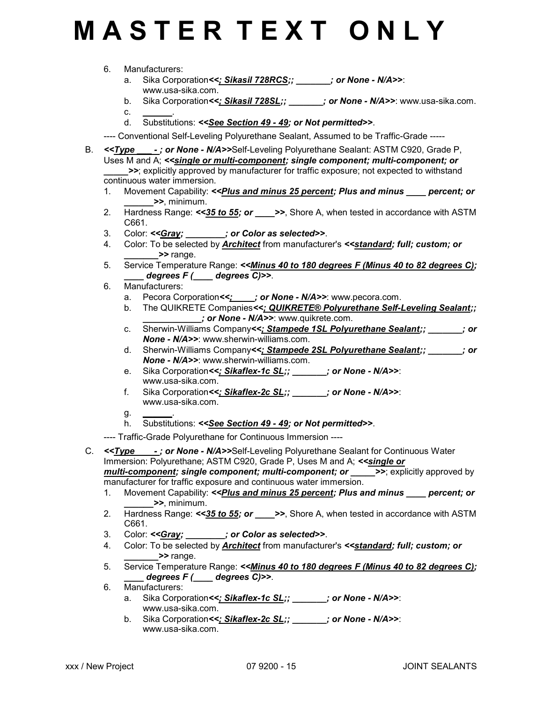6. Manufacturers:

 $C_{\cdot}$ 

- a. Sika Corporation<<; Sikasil 728RCS;; \_\_\_\_\_\_\_; or None N/A>>: www.usa-sika.com.
- b. Sika Corporation<<; Sikasil 728SL;;  $\cdot$  ; or None N/A>>: www.usa-sika.com.
- d. Substitutions: <<See Section 49 49; or Not permitted>>.

---- Conventional Self-Leveling Polyurethane Sealant, Assumed to be Traffic-Grade -----

- B. <<**Type -; or None N/A>>Self-Leveling Polyurethane Sealant: ASTM C920, Grade P,** Uses M and A; << single or multi-component; single component; multi-component; or >>; explicitly approved by manufacturer for traffic exposure; not expected to withstand continuous water immersion.
	- 1. Movement Capability: <<*Plus and minus 25 percent; Plus and minus percent; or* \_\_\_\_\_\_>>, minimum.
	- 2. Hardness Range:  $\leq$ 35 to 55; or  $\implies$  Shore A, when tested in accordance with ASTM C661.
	- 3. Color: << Gray; \_\_\_\_\_\_\_; or Color as selected >>.
	- 4. Color: To be selected by **Architect** from manufacturer's << standard; full; custom; or >> range.
	- 5. Service Temperature Range: <<Minus 40 to 180 degrees F (Minus 40 to 82 degrees C);  $degrees F (\_\_\_\_ \ degrees C) >>$ .
	- 6. Manufacturers:
		- a. Pecora Corporation<>>>  $\frac{1}{2}$  or None N/A>>: www.pecora.com.
		- b. The QUIKRETE Companies<<; QUIKRETE® Polyurethane Self-Leveling Sealant;; ; or None - N/A>>: www.quikrete.com.
		- c. Sherwin-Williams Company<<; Stampede 1SL Polyurethane Sealant;;  $\cdot$  ; or None - N/A>>: www.sherwin-williams.com.
		- d. Sherwin-Williams Company<<; Stampede 2SL Polyurethane Sealant;; \_\_\_\_\_\_\_; or None - N/A>>: www.sherwin-williams.com.
		- e. Sika Corporation<<; Sikaflex-1c SL;;  $\cdot$  ; or None N/A>>: www.usa-sika.com.
		- f. Sika Corporation<<; Sikaflex-2c SL;; \_\_\_\_\_\_\_; or None N/A>>: www.usa-sika.com.
		- $q_{\cdot}$
		- h. Substitutions: << See Section 49 49; or Not permitted >>.
	- ---- Traffic-Grade Polyurethane for Continuous Immersion ----

C. <<**Type -; or None - N/A>>Self-Leveling Polyurethane Sealant for Continuous Water** Immersion: Polyurethane; ASTM C920, Grade P, Uses M and A; << single or multi-component; single component; multi-component; or \_\_\_\_\_\_>>; explicitly approved by manufacturer for traffic exposure and continuous water immersion.

- 1. Movement Capability: <<*Plus and minus 25 percent; Plus and minus \_\_\_\_ percent; or* \_\_\_\_\_\_>>, minimum.
- 2. Hardness Range:  $\leq$ 35 to 55; or  $\implies$  Shore A, when tested in accordance with ASTM C661.
- 3. Color: << Gray; \_\_\_\_\_\_\_; or Color as selected >>.
- 4. Color: To be selected by **Architect** from manufacturer's <<**standard; full; custom; or** \_\_\_\_\_\_\_>> range.
- 5. Service Temperature Range: <<Minus 40 to 180 degrees F (Minus 40 to 82 degrees C);  $degrees F$  (  $degrees C$ )>>.
- 6. Manufacturers:
	- a. Sika Corporation<<: Sikaflex-1c SL;;  $\qquad \qquad$  ; or None N/A>>: www.usa-sika.com.
	- b. Sika Corporation<<: Sikaflex-2c SL;; \_\_\_\_\_\_; or None N/A>>: www.usa-sika.com.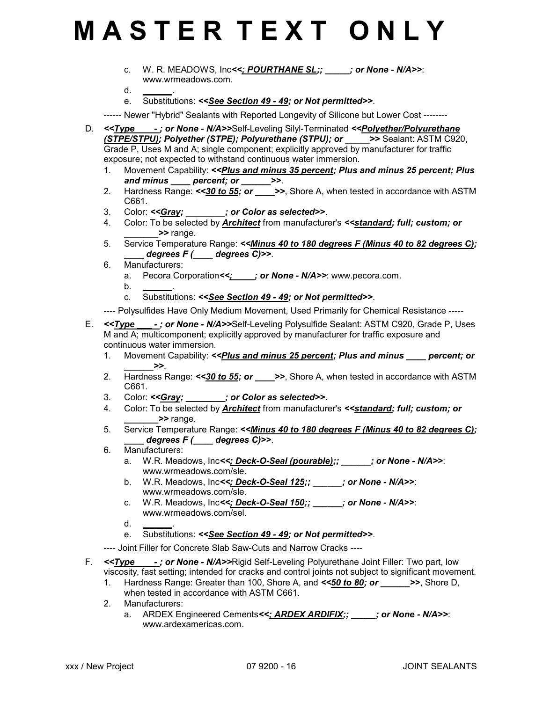- c. W. R. MEADOWS, Inc<<; POURTHANE SL;; cr None N/A>>: www.wrmeadows.com.
- $d_{\cdot}$
- e. Substitutions: <<See Section 49 49; or Not permitted>>.

------ Newer "Hybrid" Sealants with Reported Longevity of Silicone but Lower Cost --------

- D. <<Type -; or None N/A>>Self-Leveling Silyl-Terminated <<Polyether/Polyurethane (STPE/STPU); Polyether (STPE); Polyurethane (STPU); or \_\_\_\_\_>> Sealant: ASTM C920, Grade P, Uses M and A; single component; explicitly approved by manufacturer for traffic exposure; not expected to withstand continuous water immersion.
	- 1. Movement Capability: << Plus and minus 35 percent; Plus and minus 25 percent; Plus and minus percent; or >>.
	- 2. Hardness Range:  $\leq 30$  to 55; or  $\rightarrow$  >>, Shore A, when tested in accordance with ASTM C661.
	- 3. Color: <<Gray;  $\qquad \qquad$  ; or Color as selected>>.
	- 4. Color: To be selected by **Architect** from manufacturer's **<<standard; full; custom; or**  $\rightarrow$  range.
	- 5. Service Temperature Range: << Minus 40 to 180 degrees F (Minus 40 to 82 degrees C); degrees  $F$  (  $\qquad$  degrees C)>>.
	- 6. Manufacturers:
		- a. Pecora Corporation <<;  $\cdot$  ; or None N/A>>: www.pecora.com.
		- $b<sub>1</sub>$
		- c. Substitutions: <<See Section 49 49; or Not permitted>>.

---- Polysulfides Have Only Medium Movement, Used Primarily for Chemical Resistance -----

- E. <<**Type \_\_\_; or None N/A>>Self-Leveling Polysulfide Sealant: ASTM C920, Grade P, Uses** M and A; multicomponent; explicitly approved by manufacturer for traffic exposure and continuous water immersion.
	- 1. Movement Capability: <<*Plus and minus 25 percent; Plus and minus \_\_\_\_ percent; or*  $\geq$
	- 2. Hardness Range: <<30 to 55; or  $\rightarrow$ >>, Shore A, when tested in accordance with ASTM C661.
	- 3. Color: << Gray; \_\_\_\_\_\_\_; or Color as selected >>.
	- 4. Color: To be selected by **Architect** from manufacturer's <<**standard; full; custom; or** >> range.
	- 5. Service Temperature Range: << Minus 40 to 180 degrees F (Minus 40 to 82 degrees C);  $degrees F$  (  $degrees C$ )>>.
	- 6. Manufacturers:
		- a. W.R. Meadows, Inc<<; Deck-O-Seal (pourable);; \_\_\_\_\_\_; or None N/A>>: www.wrmeadows.com/sle.
		- b. W.R. Meadows, Inc<<; Deck-O-Seal 125;; \_\_\_\_\_; or None N/A>>: www.wrmeadows.com/sle.
		- c. W.R. Meadows, Inc<<; Deck-O-Seal  $150$ ;; \_\_\_\_\_\_; or None N/A>>: www.wrmeadows.com/sel.
		- $d_{-}$
		- e. Substitutions: <<See Section 49 49; or Not permitted>>.
	- ---- Joint Filler for Concrete Slab Saw-Cuts and Narrow Cracks ----
- F. <**Type -: or None N/A>>Rigid Self-Leveling Polyurethane Joint Filler: Two part, low** viscosity, fast setting; intended for cracks and control joints not subject to significant movement.
	- 1. Hardness Range: Greater than 100. Shore A, and  $\leq 50$  to 80; or  $\geq$  >>. Shore D, when tested in accordance with ASTM C661
	- 2. Manufacturers:
		- a. ARDEX Engineered Cements<<; ARDEX ARDIFIX;; \_\_\_\_\_; or None N/A>>: www.ardexamericas.com.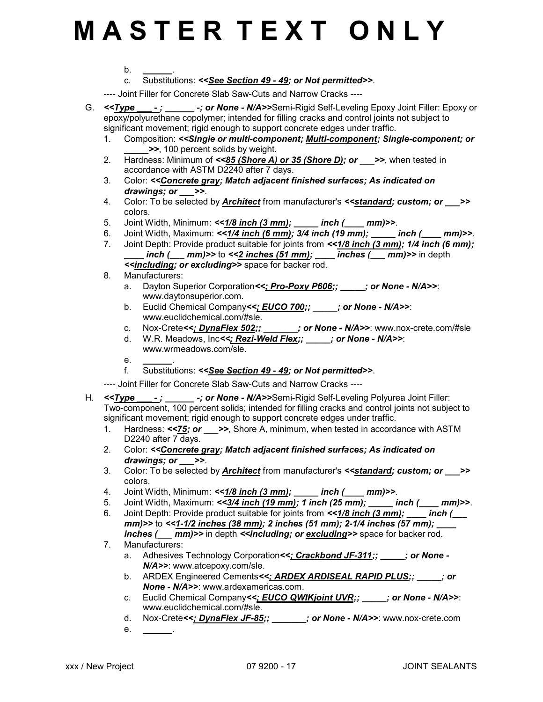$b.$ 

c. Substitutions: <<See Section 49 - 49; or Not permitted>>.

---- Joint Filler for Concrete Slab Saw-Cuts and Narrow Cracks ----

- G. <<**Type -:** \_\_\_\_\_\_\_ -; or None N/A>>Semi-Rigid Self-Leveling Epoxy Joint Filler: Epoxy or epoxy/polyurethane copolymer; intended for filling cracks and control joints not subject to significant movement; rigid enough to support concrete edges under traffic.
	- 1. Composition: <<Single or multi-component; Multi-component; Single-component; or \_\_\_\_\_>>, 100 percent solids by weight.
	- 2. Hardness: Minimum of  $<<85$  (Shore A) or 35 (Shore D); or >>, when tested in accordance with ASTM D2240 after 7 days.
	- 3. Color: <<Concrete gray; Match adjacent finished surfaces; As indicated on drawings; or  $\rightarrow$ .
	- 4. Color: To be selected by **Architect** from manufacturer's **<<standard; custom; or >>** colors.
	- 5. Joint Width, Minimum:  $\leq 1/8$  inch  $(3 \text{ mm})$ ; \_\_\_\_\_ inch  $($  \_\_\_\_ mm)>>.
	- 6. Joint Width, Maximum:  $\le 1/4$  inch (6 mm); 3/4 inch (19 mm); \_\_\_\_\_ inch (\_\_\_\_ mm)>>.
	- 7. Joint Depth: Provide product suitable for joints from << 1/8 inch (3 mm); 1/4 inch (6 mm);  $inch$  (  $mm$ )>> to <<2 inches (51 mm);  $inches$  (  $mm$ )>> in depth <<including; or excluding>> space for backer rod.
	- 8. Manufacturers:
		- a. Dayton Superior Corporation<<; Pro-Poxy P606;;  $\cdot$  ; or None N/A>>: www.daytonsuperior.com.
		- b. Euclid Chemical Company<<: EUCO 700;; \_\_\_\_; or None N/A>>: www.euclidchemical.com/#sle.
		- c. Nox-Crete< $\zeta$ : DynaFlex 502;;  $\zeta$  or None N/A>>: www.nox-crete.com/#sle
		- d. W.R. Meadows, Inc<<; Rezi-Weld Flex;; jor None N/A>>: www.wrmeadows.com/sle.
		- $e_{\cdot}$
		- f. Substitutions: <<See Section 49 49; or Not permitted>>.

---- Joint Filler for Concrete Slab Saw-Cuts and Narrow Cracks ----

- H. <<**Type --; \_\_\_\_\_\_-; or None N/A>>Semi-Rigid Self-Leveling Polyurea Joint Filler:** Two-component, 100 percent solids; intended for filling cracks and control joints not subject to significant movement; rigid enough to support concrete edges under traffic.
	- 1. Hardness: <<75; or >>, Shore A, minimum, when tested in accordance with ASTM D2240 after 7 days.
	- 2. Color: << Concrete gray; Match adjacent finished surfaces; As indicated on drawings; or  $\rightarrow$  >>.
	- 3. Color: To be selected by **Architect** from manufacturer's **<< standard; custom; or \_\_\_\_>>** colors.
	- 4. Joint Width, Minimum:  $\leq 1/8$  inch  $(3 \text{ mm})$ ; \_\_\_\_\_ inch  $($  mm)>>.
	- 5. Joint Width, Maximum:  $<<3/4$  inch  $(19 \text{ mm})$ ; 1 inch  $(25 \text{ mm})$ ;  $\qquad \qquad$  inch  $(\qquad \text{mm})$ >>.
	- 6. Joint Depth: Provide product suitable for joints from <<1/8 inch (3 mm); \_\_\_\_ inch (\_\_\_ mm)>> to <<1-1/2 inches (38 mm); 2 inches (51 mm); 2-1/4 inches (57 mm);  $inches$  (  $mm$ )>> in depth  $\le$ including; or excluding>> space for backer rod.
	- 7. Manufacturers:
		- a. Adhesives Technology Corporation<<; Crackbond JF-311;; \_\_\_\_\_; or None -N/A>>: www.atcepoxy.com/sle.
		- b. ARDEX Engineered Cements<<; ARDEX ARDISEAL RAPID PLUS;; in None - N/A>>: www.ardexamericas.com.
		- c. Euclid Chemical Company<<; EUCO QWIKjoint UVR;; \_\_\_\_\_; or None N/A>>: www.euclidchemical.com/#sle.
		- d. Nox-Crete<<: DynaFlex JF-85;; \_\_\_\_\_\_\_; or None N/A>>: www.nox-crete.com
		- e. \_\_\_\_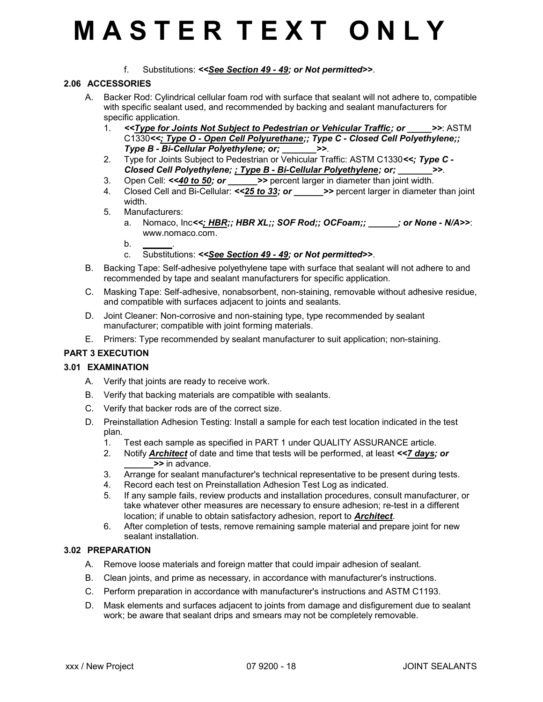f. Substitutions: <<See Section 49 - 49; or Not permitted>>.

### 2.06 ACCESSORIES

- A. Backer Rod: Cylindrical cellular foam rod with surface that sealant will not adhere to, compatible with specific sealant used, and recommended by backing and sealant manufacturers for specific application.
	- 1. <<Type for Joints Not Subject to Pedestrian or Vehicular Traffic; or  $\rightarrow$ >: ASTM C1330<<; Type O - Open Cell Polyurethane;; Type C - Closed Cell Polyethylene;; Type B - Bi-Cellular Polyethylene; or; \_\_\_\_\_\_\_>>.
	- 2. Type for Joints Subject to Pedestrian or Vehicular Traffic: ASTM C1330<<; Type C -Closed Cell Polyethylene; ; Type B - Bi-Cellular Polyethylene; or; >>.
	- 3. Open Cell:  $\leq$  40 to 50; or  $\geq$  >> percent larger in diameter than joint width.
	- 4. Closed Cell and Bi-Cellular:  $\langle 25 \text{ to } 33$ ; or  $\rangle$  > percent larger in diameter than joint width.
	- 5. Manufacturers:
		- a. Nomaco, Inc<<; HBR;; HBR XL;; SOF Rod;; OCFoam;; \_\_\_\_\_; or None N/A>>: www.nomaco.com.
		- $b<sub>1</sub>$
		- c. Substitutions: <<See Section 49 49; or Not permitted>>.
- B. Backing Tape: Self-adhesive polyethylene tape with surface that sealant will not adhere to and recommended by tape and sealant manufacturers for specific application.
- C. Masking Tape: Self-adhesive, nonabsorbent, non-staining, removable without adhesive residue, and compatible with surfaces adjacent to joints and sealants.
- D. Joint Cleaner: Non-corrosive and non-staining type, type recommended by sealant manufacturer; compatible with joint forming materials.
- E. Primers: Type recommended by sealant manufacturer to suit application; non-staining.

### PART 3 EXECUTION

### 3.01 EXAMINATION

- A. Verify that joints are ready to receive work.
- B. Verify that backing materials are compatible with sealants.
- C. Verify that backer rods are of the correct size.
- D. Preinstallation Adhesion Testing: Install a sample for each test location indicated in the test plan.
	- 1. Test each sample as specified in PART 1 under QUALITY ASSURANCE article.
	- 2. Notify **Architect** of date and time that tests will be performed, at least <<7 days; or >> in advance.
	- 3. Arrange for sealant manufacturer's technical representative to be present during tests.
	- 4. Record each test on Preinstallation Adhesion Test Log as indicated.
	- 5. If any sample fails, review products and installation procedures, consult manufacturer, or take whatever other measures are necessary to ensure adhesion; re-test in a different location; if unable to obtain satisfactory adhesion, report to **Architect**.
	- 6. After completion of tests, remove remaining sample material and prepare joint for new sealant installation.

### 3.02 PREPARATION

- A. Remove loose materials and foreign matter that could impair adhesion of sealant.
- B. Clean joints, and prime as necessary, in accordance with manufacturer's instructions.
- C. Perform preparation in accordance with manufacturer's instructions and ASTM C1193.
- D. Mask elements and surfaces adjacent to joints from damage and disfigurement due to sealant work; be aware that sealant drips and smears may not be completely removable.